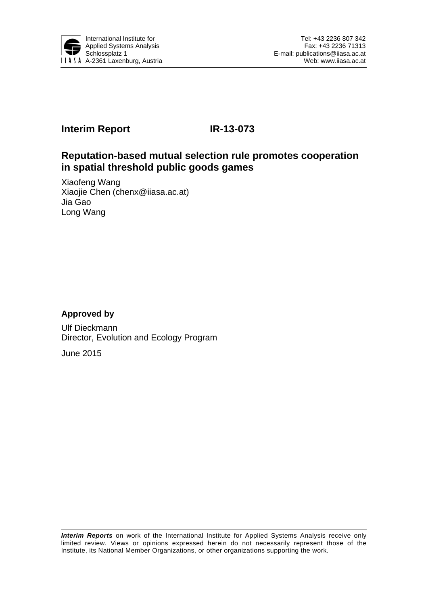

# **Interim Report IR-13-073**

## **Reputation-based mutual selection rule promotes cooperation in spatial threshold public goods games**

Xiaofeng Wang Xiaojie Chen (chenx@iiasa.ac.at) Jia Gao Long Wang

### **Approved by**

Ulf Dieckmann Director, Evolution and Ecology Program

June 2015

*Interim Reports* on work of the International Institute for Applied Systems Analysis receive only limited review. Views or opinions expressed herein do not necessarily represent those of the Institute, its National Member Organizations, or other organizations supporting the work.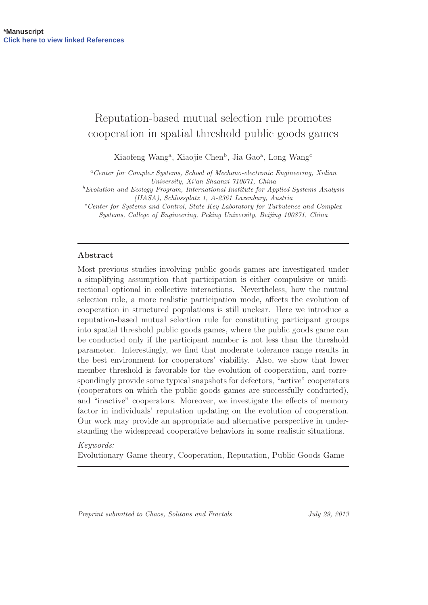# Reputation-based mutual selection rule promotes cooperation in spatial threshold public goods games

Xiaofeng Wang<sup>a</sup>, Xiaojie Chen<sup>b</sup>, Jia Gao<sup>a</sup>, Long Wang<sup>c</sup>

<sup>a</sup>Center for Complex Systems, School of Mechano-electronic Engineering, Xidian University, Xi'an Shaanxi 710071, China

 ${}^b$ Evolution and Ecology Program, International Institute for Applied Systems Analysis (IIASA), Schlossplatz 1, A-2361 Laxenburg, Austria<br>
<sup>c</sup>Center for Systems and Control, State Key Laboratory for Turbulence and Complex

Systems, College of Engineering, Peking University, Beijing 100871, China

#### **Abstract**

Most previous studies involving public goods games are investigated under a simplifying assumption that participation is either compulsive or unidirectional optional in collective interactions. Nevertheless, how the mutual selection rule, a more realistic participation mode, affects the evolution of cooperation in structured populations is still unclear. Here we introduce a reputation-based mutual selection rule for constituting participant groups into spatial threshold public goods games, where the public goods game can be conducted only if the participant number is not less than the threshold parameter. Interestingly, we find that moderate tolerance range results in the best environment for cooperators' viability. Also, we show that lower member threshold is favorable for the evolution of cooperation, and correspondingly provide some typical snapshots for defectors, "active" cooperators (cooperators on which the public goods games are successfully conducted), and "inactive" cooperators. Moreover, we investigate the effects of memory factor in individuals' reputation updating on the evolution of cooperation. Our work may provide an appropriate and alternative perspective in understanding the widespread cooperative behaviors in some realistic situations.

#### Keywords:

Evolutionary Game theory, Cooperation, Reputation, Public Goods Game

Preprint submitted to Chaos, Solitons and Fractals July 29, 2013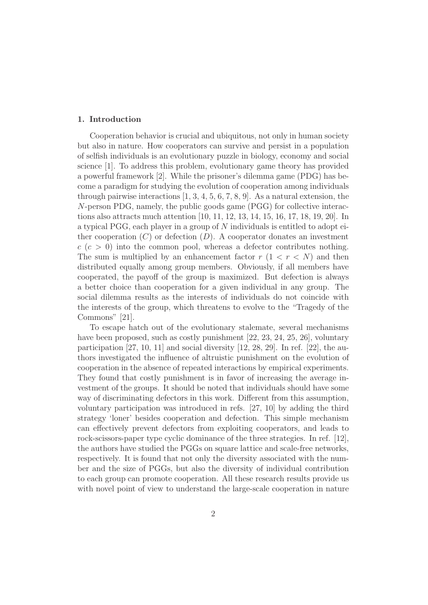#### **1. Introduction**

Cooperation behavior is crucial and ubiquitous, not only in human society but also in nature. How cooperators can survive and persist in a population of selfish individuals is an evolutionary puzzle in biology, economy and social science [1]. To address this problem, evolutionary game theory has provided a powerful framework [2]. While the prisoner's dilemma game (PDG) has become a paradigm for studying the evolution of cooperation among individuals through pairwise interactions [1, 3, 4, 5, 6, 7, 8, 9]. As a natural extension, the N-person PDG, namely, the public goods game (PGG) for collective interactions also attracts much attention [10, 11, 12, 13, 14, 15, 16, 17, 18, 19, 20]. In a typical PGG, each player in a group of N individuals is entitled to adopt either cooperation  $(C)$  or defection  $(D)$ . A cooperator donates an investment  $c$  ( $c > 0$ ) into the common pool, whereas a defector contributes nothing. The sum is multiplied by an enhancement factor  $r (1 < r < N)$  and then distributed equally among group members. Obviously, if all members have cooperated, the payoff of the group is maximized. But defection is always a better choice than cooperation for a given individual in any group. The social dilemma results as the interests of individuals do not coincide with the interests of the group, which threatens to evolve to the "Tragedy of the Commons" [21].

To escape hatch out of the evolutionary stalemate, several mechanisms have been proposed, such as costly punishment [22, 23, 24, 25, 26], voluntary participation  $[27, 10, 11]$  and social diversity  $[12, 28, 29]$ . In ref.  $[22]$ , the authors investigated the influence of altruistic punishment on the evolution of cooperation in the absence of repeated interactions by empirical experiments. They found that costly punishment is in favor of increasing the average investment of the groups. It should be noted that individuals should have some way of discriminating defectors in this work. Different from this assumption, voluntary participation was introduced in refs. [27, 10] by adding the third strategy 'loner' besides cooperation and defection. This simple mechanism can effectively prevent defectors from exploiting cooperators, and leads to rock-scissors-paper type cyclic dominance of the three strategies. In ref. [12], the authors have studied the PGGs on square lattice and scale-free networks, respectively. It is found that not only the diversity associated with the number and the size of PGGs, but also the diversity of individual contribution to each group can promote cooperation. All these research results provide us with novel point of view to understand the large-scale cooperation in nature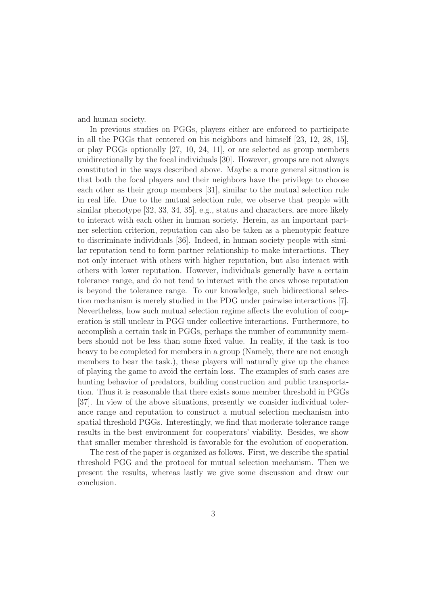and human society.

In previous studies on PGGs, players either are enforced to participate in all the PGGs that centered on his neighbors and himself [23, 12, 28, 15], or play PGGs optionally [27, 10, 24, 11], or are selected as group members unidirectionally by the focal individuals [30]. However, groups are not always constituted in the ways described above. Maybe a more general situation is that both the focal players and their neighbors have the privilege to choose each other as their group members [31], similar to the mutual selection rule in real life. Due to the mutual selection rule, we observe that people with similar phenotype [32, 33, 34, 35], e.g., status and characters, are more likely to interact with each other in human society. Herein, as an important partner selection criterion, reputation can also be taken as a phenotypic feature to discriminate individuals [36]. Indeed, in human society people with similar reputation tend to form partner relationship to make interactions. They not only interact with others with higher reputation, but also interact with others with lower reputation. However, individuals generally have a certain tolerance range, and do not tend to interact with the ones whose reputation is beyond the tolerance range. To our knowledge, such bidirectional selection mechanism is merely studied in the PDG under pairwise interactions [7]. Nevertheless, how such mutual selection regime affects the evolution of cooperation is still unclear in PGG under collective interactions. Furthermore, to accomplish a certain task in PGGs, perhaps the number of community members should not be less than some fixed value. In reality, if the task is too heavy to be completed for members in a group (Namely, there are not enough members to bear the task.), these players will naturally give up the chance of playing the game to avoid the certain loss. The examples of such cases are hunting behavior of predators, building construction and public transportation. Thus it is reasonable that there exists some member threshold in PGGs [37]. In view of the above situations, presently we consider individual tolerance range and reputation to construct a mutual selection mechanism into spatial threshold PGGs. Interestingly, we find that moderate tolerance range results in the best environment for cooperators' viability. Besides, we show that smaller member threshold is favorable for the evolution of cooperation.

The rest of the paper is organized as follows. First, we describe the spatial threshold PGG and the protocol for mutual selection mechanism. Then we present the results, whereas lastly we give some discussion and draw our conclusion.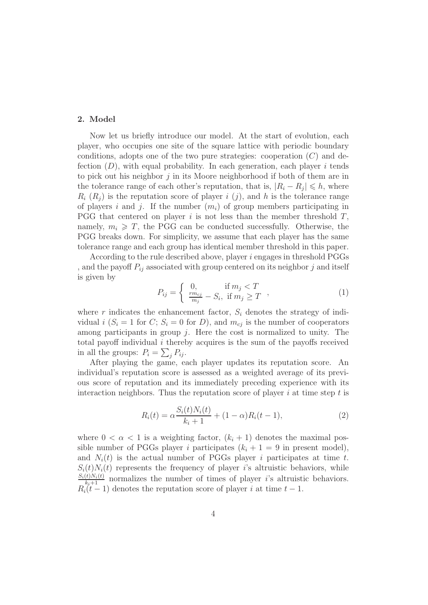#### **2. Model**

Now let us briefly introduce our model. At the start of evolution, each player, who occupies one site of the square lattice with periodic boundary conditions, adopts one of the two pure strategies: cooperation  $(C)$  and defection  $(D)$ , with equal probability. In each generation, each player i tends to pick out his neighbor  $j$  in its Moore neighborhood if both of them are in the tolerance range of each other's reputation, that is,  $|R_i - R_j| \leq k$ , where  $R_i(R_i)$  is the reputation score of player i (j), and h is the tolerance range of players i and j. If the number  $(m_i)$  of group members participating in PGG that centered on player i is not less than the member threshold  $T$ , namely,  $m_i \geq T$ , the PGG can be conducted successfully. Otherwise, the PGG breaks down. For simplicity, we assume that each player has the same tolerance range and each group has identical member threshold in this paper.

According to the rule described above, player i engages in threshold PGGs , and the payoff  $P_{ij}$  associated with group centered on its neighbor j and itself is given by

$$
P_{ij} = \begin{cases} 0, & \text{if } m_j < T \\ \frac{rm_{cj}}{m_j} - S_i, & \text{if } m_j \ge T \end{cases} \tag{1}
$$

where r indicates the enhancement factor,  $S_i$  denotes the strategy of individual i  $(S_i = 1$  for  $C; S_i = 0$  for D), and  $m_{ci}$  is the number of cooperators among participants in group j. Here the cost is normalized to unity. The total payoff individual  $i$  thereby acquires is the sum of the payoffs received in all the groups:  $P_i = \sum_j P_{ij}$ .

After playing the game, each player updates its reputation score. An individual's reputation score is assessed as a weighted average of its previous score of reputation and its immediately preceding experience with its interaction neighbors. Thus the reputation score of player  $i$  at time step  $t$  is

$$
R_i(t) = \alpha \frac{S_i(t)N_i(t)}{k_i + 1} + (1 - \alpha)R_i(t - 1),
$$
\n(2)

where  $0 < \alpha < 1$  is a weighting factor,  $(k_i + 1)$  denotes the maximal possible number of PGGs player i participates  $(k_i + 1 = 9$  in present model), and  $N_i(t)$  is the actual number of PGGs player i participates at time t.  $S_i(t)N_i(t)$  represents the frequency of player i's altruistic behaviors, while  $\frac{S_i(t)N_i(t)}{k_i+1}$  normalizes the number of times of player *i*'s altruistic behaviors.  $R_i(t-1)$  denotes the reputation score of player i at time  $t-1$ .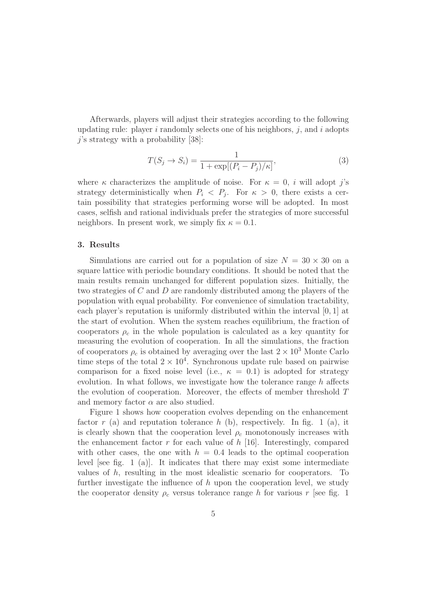Afterwards, players will adjust their strategies according to the following updating rule: player  $i$  randomly selects one of his neighbors,  $j$ , and  $i$  adopts  $j$ 's strategy with a probability [38]:

$$
T(S_j \to S_i) = \frac{1}{1 + \exp[(P_i - P_j)/\kappa]},\tag{3}
$$

where  $\kappa$  characterizes the amplitude of noise. For  $\kappa = 0$ , i will adopt j's strategy deterministically when  $P_i \leq P_j$ . For  $\kappa > 0$ , there exists a certain possibility that strategies performing worse will be adopted. In most cases, selfish and rational individuals prefer the strategies of more successful neighbors. In present work, we simply fix  $\kappa = 0.1$ .

#### **3. Results**

Simulations are carried out for a population of size  $N = 30 \times 30$  on a square lattice with periodic boundary conditions. It should be noted that the main results remain unchanged for different population sizes. Initially, the two strategies of C and D are randomly distributed among the players of the population with equal probability. For convenience of simulation tractability, each player's reputation is uniformly distributed within the interval [0, 1] at the start of evolution. When the system reaches equilibrium, the fraction of cooperators  $\rho_c$  in the whole population is calculated as a key quantity for measuring the evolution of cooperation. In all the simulations, the fraction of cooperators  $\rho_c$  is obtained by averaging over the last  $2 \times 10^3$  Monte Carlo time steps of the total  $2 \times 10^4$ . Synchronous update rule based on pairwise comparison for a fixed noise level (i.e.,  $\kappa = 0.1$ ) is adopted for strategy evolution. In what follows, we investigate how the tolerance range  $h$  affects the evolution of cooperation. Moreover, the effects of member threshold T and memory factor  $\alpha$  are also studied.

Figure 1 shows how cooperation evolves depending on the enhancement factor r (a) and reputation tolerance h (b), respectively. In fig. 1 (a), it is clearly shown that the cooperation level  $\rho_c$  monotonously increases with the enhancement factor  $r$  for each value of  $h$  [16]. Interestingly, compared with other cases, the one with  $h = 0.4$  leads to the optimal cooperation level [see fig. 1 (a)]. It indicates that there may exist some intermediate values of  $h$ , resulting in the most idealistic scenario for cooperators. To further investigate the influence of  $h$  upon the cooperation level, we study the cooperator density  $\rho_c$  versus tolerance range h for various r [see fig. 1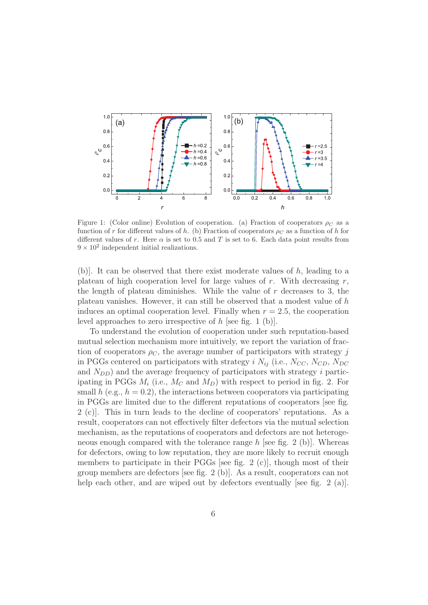

Figure 1: (Color online) Evolution of cooperation. (a) Fraction of cooperators  $\rho_C$  as a function of r for different values of h. (b) Fraction of cooperators  $\rho_C$  as a function of h for different values of r. Here  $\alpha$  is set to 0.5 and T is set to 6. Each data point results from  $9 \times 10^2$  independent initial realizations.

(b). It can be observed that there exist moderate values of  $h$ , leading to a plateau of high cooperation level for large values of  $r$ . With decreasing  $r$ , the length of plateau diminishes. While the value of  $r$  decreases to 3, the plateau vanishes. However, it can still be observed that a modest value of h induces an optimal cooperation level. Finally when  $r = 2.5$ , the cooperation level approaches to zero irrespective of  $h$  [see fig. 1 (b)].

To understand the evolution of cooperation under such reputation-based mutual selection mechanism more intuitively, we report the variation of fraction of cooperators  $\rho_C$ , the average number of participators with strategy j in PGGs centered on participators with strategy i  $N_{ij}$  (i.e.,  $N_{CC}$ ,  $N_{CD}$ ,  $N_{DC}$ and  $N_{DD}$ ) and the average frequency of participators with strategy i participating in PGGs  $M_i$  (i.e.,  $M_C$  and  $M_D$ ) with respect to period in fig. 2. For small h (e.g.,  $h = 0.2$ ), the interactions between cooperators via participating in PGGs are limited due to the different reputations of cooperators [see fig. 2 (c)]. This in turn leads to the decline of cooperators' reputations. As a result, cooperators can not effectively filter defectors via the mutual selection mechanism, as the reputations of cooperators and defectors are not heterogeneous enough compared with the tolerance range  $h$  [see fig. 2 (b)]. Whereas for defectors, owing to low reputation, they are more likely to recruit enough members to participate in their PGGs [see fig. 2 (c)], though most of their group members are defectors [see fig. 2 (b)]. As a result, cooperators can not help each other, and are wiped out by defectors eventually [see fig. 2 (a)].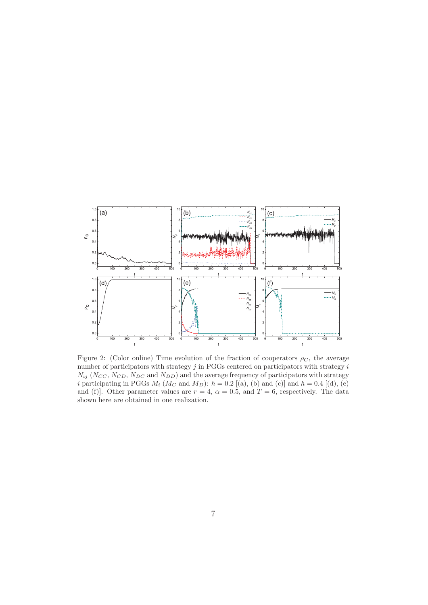

Figure 2: (Color online) Time evolution of the fraction of cooperators  $\rho_C$ , the average number of participators with strategy  $j$  in PGGs centered on participators with strategy  $i$  $N_{ij}$  (N<sub>CC</sub>, N<sub>CD</sub>, N<sub>DC</sub> and N<sub>DD</sub>) and the average frequency of participators with strategy i participating in PGGs  $M_i$  ( $M_C$  and  $M_D$ ):  $h = 0.2$  [(a), (b) and (c)] and  $h = 0.4$  [(d), (e) and (f). Other parameter values are  $r = 4$ ,  $\alpha = 0.5$ , and  $T = 6$ , respectively. The data shown here are obtained in one realization.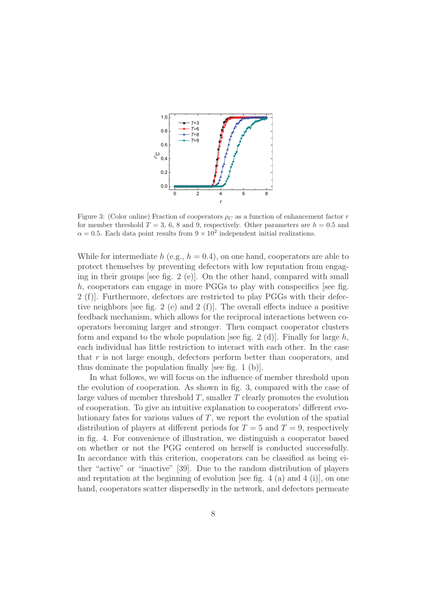

Figure 3: (Color online) Fraction of cooperators  $\rho_C$  as a function of enhancement factor r for member threshold  $T = 3, 6, 8$  and 9, respectively. Other parameters are  $h = 0.5$  and  $\alpha = 0.5$ . Each data point results from  $9 \times 10^2$  independent initial realizations.

While for intermediate h (e.g.,  $h = 0.4$ ), on one hand, cooperators are able to protect themselves by preventing defectors with low reputation from engaging in their groups [see fig. 2 (e)]. On the other hand, compared with small h, cooperators can engage in more PGGs to play with conspecifics [see fig. 2 (f)]. Furthermore, defectors are restricted to play PGGs with their defective neighbors [see fig. 2 (e) and 2 (f)]. The overall effects induce a positive feedback mechanism, which allows for the reciprocal interactions between cooperators becoming larger and stronger. Then compact cooperator clusters form and expand to the whole population [see fig. 2 (d)]. Finally for large  $h$ , each individual has little restriction to interact with each other. In the case that  $r$  is not large enough, defectors perform better than cooperators, and thus dominate the population finally [see fig. 1 (b)].

In what follows, we will focus on the influence of member threshold upon the evolution of cooperation. As shown in fig. 3, compared with the case of large values of member threshold  $T$ , smaller  $T$  clearly promotes the evolution of cooperation. To give an intuitive explanation to cooperators' different evolutionary fates for various values of T, we report the evolution of the spatial distribution of players at different periods for  $T = 5$  and  $T = 9$ , respectively in fig. 4. For convenience of illustration, we distinguish a cooperator based on whether or not the PGG centered on herself is conducted successfully. In accordance with this criterion, cooperators can be classified as being either "active" or "inactive" [39]. Due to the random distribution of players and reputation at the beginning of evolution [see fig.  $4$  (a) and  $4$  (i)], on one hand, cooperators scatter dispersedly in the network, and defectors permeate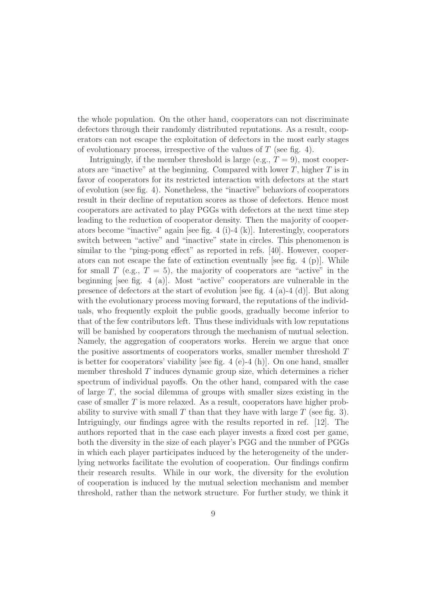the whole population. On the other hand, cooperators can not discriminate defectors through their randomly distributed reputations. As a result, cooperators can not escape the exploitation of defectors in the most early stages of evolutionary process, irrespective of the values of  $T$  (see fig. 4).

Intriguingly, if the member threshold is large (e.g.,  $T = 9$ ), most cooperators are "inactive" at the beginning. Compared with lower  $T$ , higher  $T$  is in favor of cooperators for its restricted interaction with defectors at the start of evolution (see fig. 4). Nonetheless, the "inactive" behaviors of cooperators result in their decline of reputation scores as those of defectors. Hence most cooperators are activated to play PGGs with defectors at the next time step leading to the reduction of cooperator density. Then the majority of cooperators become "inactive" again [see fig. 4 (i)-4 (k)]. Interestingly, cooperators switch between "active" and "inactive" state in circles. This phenomenon is similar to the "ping-pong effect" as reported in refs. [40]. However, cooperators can not escape the fate of extinction eventually [see fig. 4 (p)]. While for small T (e.g.,  $T = 5$ ), the majority of cooperators are "active" in the beginning [see fig. 4 (a)]. Most "active" cooperators are vulnerable in the presence of defectors at the start of evolution [see fig. 4 (a)-4 (d)]. But along with the evolutionary process moving forward, the reputations of the individuals, who frequently exploit the public goods, gradually become inferior to that of the few contributors left. Thus these individuals with low reputations will be banished by cooperators through the mechanism of mutual selection. Namely, the aggregation of cooperators works. Herein we argue that once the positive assortments of cooperators works, smaller member threshold T is better for cooperators' viability [see fig.  $4$  (e)- $4$  (h)]. On one hand, smaller member threshold T induces dynamic group size, which determines a richer spectrum of individual payoffs. On the other hand, compared with the case of large T, the social dilemma of groups with smaller sizes existing in the case of smaller T is more relaxed. As a result, cooperators have higher probability to survive with small  $T$  than that they have with large  $T$  (see fig. 3). Intriguingly, our findings agree with the results reported in ref. [12]. The authors reported that in the case each player invests a fixed cost per game, both the diversity in the size of each player's PGG and the number of PGGs in which each player participates induced by the heterogeneity of the underlying networks facilitate the evolution of cooperation. Our findings confirm their research results. While in our work, the diversity for the evolution of cooperation is induced by the mutual selection mechanism and member threshold, rather than the network structure. For further study, we think it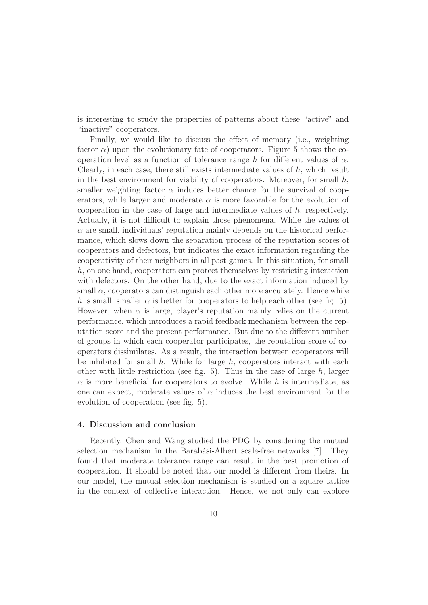is interesting to study the properties of patterns about these "active" and "inactive" cooperators.

Finally, we would like to discuss the effect of memory (i.e., weighting factor  $\alpha$ ) upon the evolutionary fate of cooperators. Figure 5 shows the cooperation level as a function of tolerance range h for different values of  $\alpha$ . Clearly, in each case, there still exists intermediate values of  $h$ , which result in the best environment for viability of cooperators. Moreover, for small  $h$ , smaller weighting factor  $\alpha$  induces better chance for the survival of cooperators, while larger and moderate  $\alpha$  is more favorable for the evolution of cooperation in the case of large and intermediate values of  $h$ , respectively. Actually, it is not difficult to explain those phenomena. While the values of  $\alpha$  are small, individuals' reputation mainly depends on the historical performance, which slows down the separation process of the reputation scores of cooperators and defectors, but indicates the exact information regarding the cooperativity of their neighbors in all past games. In this situation, for small h, on one hand, cooperators can protect themselves by restricting interaction with defectors. On the other hand, due to the exact information induced by small  $\alpha$ , cooperators can distinguish each other more accurately. Hence while h is small, smaller  $\alpha$  is better for cooperators to help each other (see fig. 5). However, when  $\alpha$  is large, player's reputation mainly relies on the current performance, which introduces a rapid feedback mechanism between the reputation score and the present performance. But due to the different number of groups in which each cooperator participates, the reputation score of cooperators dissimilates. As a result, the interaction between cooperators will be inhibited for small  $h$ . While for large  $h$ , cooperators interact with each other with little restriction (see fig. 5). Thus in the case of large  $h$ , larger  $\alpha$  is more beneficial for cooperators to evolve. While h is intermediate, as one can expect, moderate values of  $\alpha$  induces the best environment for the evolution of cooperation (see fig. 5).

#### **4. Discussion and conclusion**

Recently, Chen and Wang studied the PDG by considering the mutual selection mechanism in the Barabási-Albert scale-free networks [7]. They found that moderate tolerance range can result in the best promotion of cooperation. It should be noted that our model is different from theirs. In our model, the mutual selection mechanism is studied on a square lattice in the context of collective interaction. Hence, we not only can explore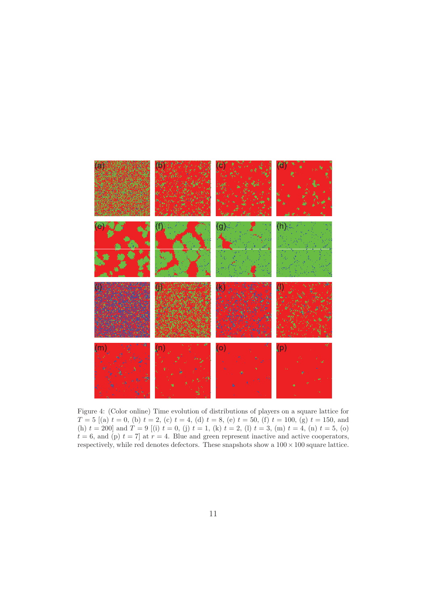

Figure 4: (Color online) Time evolution of distributions of players on a square lattice for  $T = 5$  [(a)  $t = 0$ , (b)  $t = 2$ , (c)  $t = 4$ , (d)  $t = 8$ , (e)  $t = 50$ , (f)  $t = 100$ , (g)  $t = 150$ , and (h)  $t = 200$  and  $T = 9$  [(i)  $t = 0$ , (j)  $t = 1$ , (k)  $t = 2$ , (l)  $t = 3$ , (m)  $t = 4$ , (n)  $t = 5$ , (o)  $t = 6$ , and (p)  $t = 7$  at  $r = 4$ . Blue and green represent inactive and active cooperators, respectively, while red denotes defectors. These snapshots show a  $100 \times 100$  square lattice.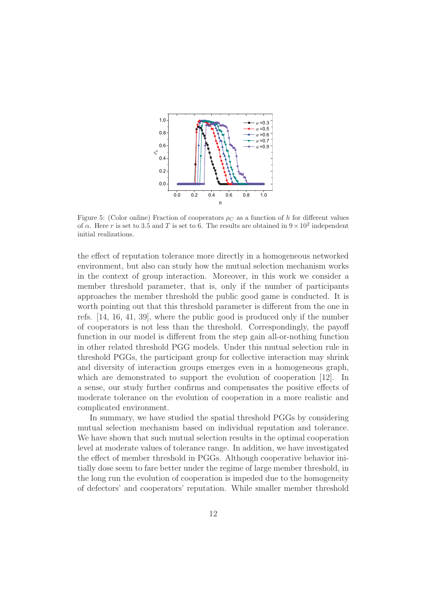

Figure 5: (Color online) Fraction of cooperators  $\rho_C$  as a function of h for different values of  $\alpha$ . Here r is set to 3.5 and T is set to 6. The results are obtained in  $9 \times 10^2$  independent initial realizations.

the effect of reputation tolerance more directly in a homogeneous networked environment, but also can study how the mutual selection mechanism works in the context of group interaction. Moreover, in this work we consider a member threshold parameter, that is, only if the number of participants approaches the member threshold the public good game is conducted. It is worth pointing out that this threshold parameter is different from the one in refs. [14, 16, 41, 39], where the public good is produced only if the number of cooperators is not less than the threshold. Correspondingly, the payoff function in our model is different from the step gain all-or-nothing function in other related threshold PGG models. Under this mutual selection rule in threshold PGGs, the participant group for collective interaction may shrink and diversity of interaction groups emerges even in a homogeneous graph, which are demonstrated to support the evolution of cooperation [12]. In a sense, our study further confirms and compensates the positive effects of moderate tolerance on the evolution of cooperation in a more realistic and complicated environment.

In summary, we have studied the spatial threshold PGGs by considering mutual selection mechanism based on individual reputation and tolerance. We have shown that such mutual selection results in the optimal cooperation level at moderate values of tolerance range. In addition, we have investigated the effect of member threshold in PGGs. Although cooperative behavior initially dose seem to fare better under the regime of large member threshold, in the long run the evolution of cooperation is impeded due to the homogeneity of defectors' and cooperators' reputation. While smaller member threshold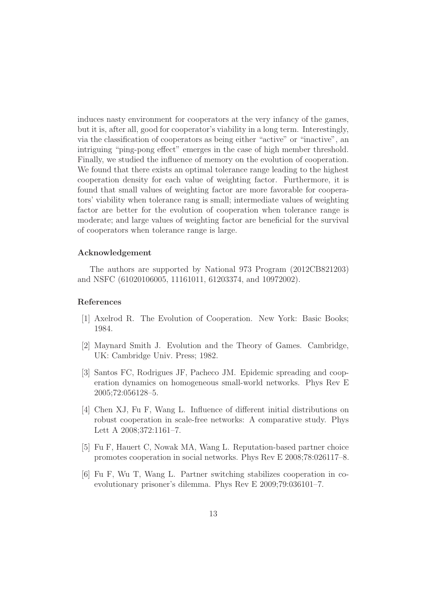induces nasty environment for cooperators at the very infancy of the games, but it is, after all, good for cooperator's viability in a long term. Interestingly, via the classification of cooperators as being either "active" or "inactive", an intriguing "ping-pong effect" emerges in the case of high member threshold. Finally, we studied the influence of memory on the evolution of cooperation. We found that there exists an optimal tolerance range leading to the highest cooperation density for each value of weighting factor. Furthermore, it is found that small values of weighting factor are more favorable for cooperators' viability when tolerance rang is small; intermediate values of weighting factor are better for the evolution of cooperation when tolerance range is moderate; and large values of weighting factor are beneficial for the survival of cooperators when tolerance range is large.

#### **Acknowledgement**

The authors are supported by National 973 Program (2012CB821203) and NSFC (61020106005, 11161011, 61203374, and 10972002).

#### **References**

- [1] Axelrod R. The Evolution of Cooperation. New York: Basic Books; 1984.
- [2] Maynard Smith J. Evolution and the Theory of Games. Cambridge, UK: Cambridge Univ. Press; 1982.
- [3] Santos FC, Rodrigues JF, Pacheco JM. Epidemic spreading and cooperation dynamics on homogeneous small-world networks. Phys Rev E 2005;72:056128–5.
- [4] Chen XJ, Fu F, Wang L. Influence of different initial distributions on robust cooperation in scale-free networks: A comparative study. Phys Lett A 2008;372:1161–7.
- [5] Fu F, Hauert C, Nowak MA, Wang L. Reputation-based partner choice promotes cooperation in social networks. Phys Rev E 2008;78:026117–8.
- [6] Fu F, Wu T, Wang L. Partner switching stabilizes cooperation in coevolutionary prisoner's dilemma. Phys Rev E 2009;79:036101–7.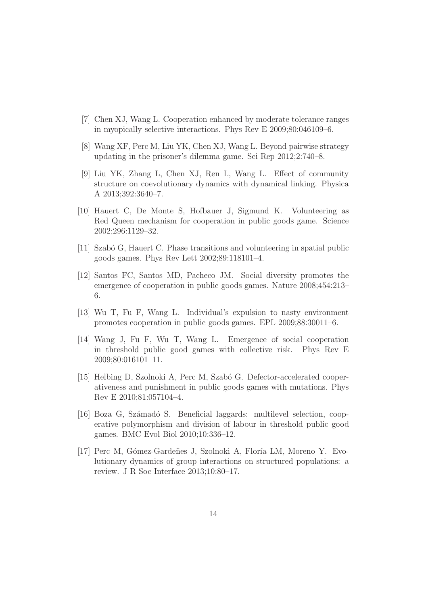- [7] Chen XJ, Wang L. Cooperation enhanced by moderate tolerance ranges in myopically selective interactions. Phys Rev E 2009;80:046109–6.
- [8] Wang XF, Perc M, Liu YK, Chen XJ, Wang L. Beyond pairwise strategy updating in the prisoner's dilemma game. Sci Rep 2012;2:740–8.
- [9] Liu YK, Zhang L, Chen XJ, Ren L, Wang L. Effect of community structure on coevolutionary dynamics with dynamical linking. Physica A 2013;392:3640–7.
- [10] Hauert C, De Monte S, Hofbauer J, Sigmund K. Volunteering as Red Queen mechanism for cooperation in public goods game. Science 2002;296:1129–32.
- [11] Szabó G, Hauert C. Phase transitions and volunteering in spatial public goods games. Phys Rev Lett 2002;89:118101–4.
- [12] Santos FC, Santos MD, Pacheco JM. Social diversity promotes the emergence of cooperation in public goods games. Nature 2008;454:213– 6.
- [13] Wu T, Fu F, Wang L. Individual's expulsion to nasty environment promotes cooperation in public goods games. EPL 2009;88:30011–6.
- [14] Wang J, Fu F, Wu T, Wang L. Emergence of social cooperation in threshold public good games with collective risk. Phys Rev E 2009;80:016101–11.
- [15] Helbing D, Szolnoki A, Perc M, Szabó G. Defector-accelerated cooperativeness and punishment in public goods games with mutations. Phys Rev E 2010;81:057104–4.
- [16] Boza G, Számadó S. Beneficial laggards: multilevel selection, cooperative polymorphism and division of labour in threshold public good games. BMC Evol Biol 2010;10:336–12.
- [17] Perc M, Gómez-Gardeñes J, Szolnoki A, Floría LM, Moreno Y. Evolutionary dynamics of group interactions on structured populations: a review. J R Soc Interface 2013;10:80–17.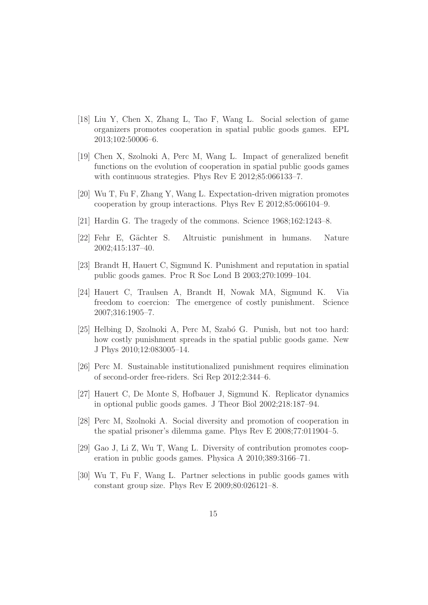- [18] Liu Y, Chen X, Zhang L, Tao F, Wang L. Social selection of game organizers promotes cooperation in spatial public goods games. EPL 2013;102:50006–6.
- [19] Chen X, Szolnoki A, Perc M, Wang L. Impact of generalized benefit functions on the evolution of cooperation in spatial public goods games with continuous strategies. Phys Rev E 2012;85:066133–7.
- [20] Wu T, Fu F, Zhang Y, Wang L. Expectation-driven migration promotes cooperation by group interactions. Phys Rev E 2012;85:066104–9.
- [21] Hardin G. The tragedy of the commons. Science 1968;162:1243–8.
- [22] Fehr E, G¨achter S. Altruistic punishment in humans. Nature 2002;415:137–40.
- [23] Brandt H, Hauert C, Sigmund K. Punishment and reputation in spatial public goods games. Proc R Soc Lond B 2003;270:1099–104.
- [24] Hauert C, Traulsen A, Brandt H, Nowak MA, Sigmund K. Via freedom to coercion: The emergence of costly punishment. Science 2007;316:1905–7.
- [25] Helbing D, Szolnoki A, Perc M, Szabó G. Punish, but not too hard: how costly punishment spreads in the spatial public goods game. New J Phys 2010;12:083005–14.
- [26] Perc M. Sustainable institutionalized punishment requires elimination of second-order free-riders. Sci Rep 2012;2:344–6.
- [27] Hauert C, De Monte S, Hofbauer J, Sigmund K. Replicator dynamics in optional public goods games. J Theor Biol 2002;218:187–94.
- [28] Perc M, Szolnoki A. Social diversity and promotion of cooperation in the spatial prisoner's dilemma game. Phys Rev E 2008;77:011904–5.
- [29] Gao J, Li Z, Wu T, Wang L. Diversity of contribution promotes cooperation in public goods games. Physica A 2010;389:3166–71.
- [30] Wu T, Fu F, Wang L. Partner selections in public goods games with constant group size. Phys Rev E 2009;80:026121–8.